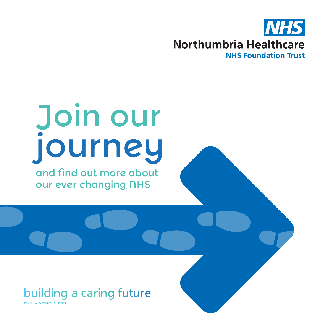

## Join our journey

and find out more about our ever changing NHS

#### building a caring future

**HOSPITAL | COMMUNITY | HOME**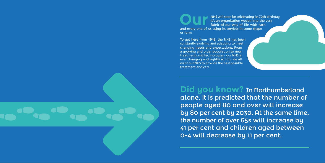NHS will soon be celebrating its 70th birthday. It's an organisation woven into the very fabric of our way of life with each and every one of us using its services in some shape or form.

To get here from 1948, the NHS has been constantly evolving and adapting to meet changing needs and expectations. From a growing and older population to new treatments and technologies - our NHS is ever changing and rightly so too, we all want our NHS to provide the best possible treatment and care.

**Did you know?** In Northumberland alone, it is predicted that the number of people aged 80 and over will increase by 80 per cent by 2030. At the same time, the number of over 65s will increase by 41 per cent and children aged between 0-4 will decrease by 11 per cent.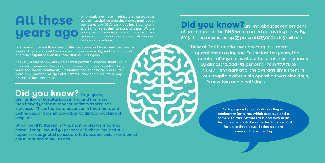# All those

who would ever have imagined that we would be able to map the human brain, know so much about our genes and DNA, carry out heart transplants and immunise against so many diseases. We are now able to diagnose, cure and predict so many more conditions; in some cases we can do this even before a child is born.

Did we ever imagine that many of the operations and treatments that needed weeks of recovery would become routine, done in a day, and carried out at our local hospital or even in a local clinic or GP surgery?

Did you know? In 1974 about seven per cent of procedures in the NHS were carried out as day cases. By 2013, this had increased by 35 per cent (417,000 to 6.3 million!).

The very nature of how and where care is provided - whether that's in our hospitals, community clinics or GP surgeries – continues to evolve. Thirty years ago cancer treatments, ultrasounds and endoscopic procedures were only provided at specialist centres. Now these are every day practice in local hospitals.

## **Did you know?** In 30 years,

Here at northumbria, we now carry out more operations in a day too. In the last ten years, the number of day cases at our hospitals has increased by almost 12,000 (32 per cent) from 37,578 to 49,517. Ten years ago, the average time spent in our hospitals after a hip operation was nine days, it's now two and a half days.

> In days gone by, patients needing an angiogram (an x-ray which uses dye and a camera to take pictures of blood flow in an artery or vein) would be admitted into hospital for up to three days. Today you are home on the same day.

the number of hospital beds in England has more than halved yet the number of patients treated has increased. This is thanks to advances in treatments and techniques, and a shift towards providing care outside of hospitals.

When the NHS started in 1948, most babies were born at home. Today, around 90 per cent of births in England still happen in designated consultant-led obstetric units or combined consultant and midwife units.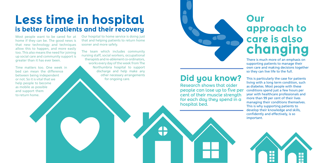Most people want to be cared for at home if they can be. The good news is that new technology and techniques allow this to happen, and more easily too. This also means the need for joining up social care and community support is greater than it has ever been.

Time matters too. One week in bed can mean the difference between being independent or not. So it is vital that we help people to become as mobile as possible and support them to return home.

## **Our approach to care is also changing**

There is much more of an emphasis on supporting patients to manage their own care and making decisions together so they can live life to the full.



Our hospital to home service is doing just that and helping patients to return home sooner and more safely.

> This is particularly the case for patients living with a long term condition, such as diabetes. Most people with these conditions spend just a few hours per year with healthcare professionals and more than 99 per cent of their lives managing their conditions themselves. This is why supporting patients to develop their knowledge and skills, confidently and effectively, is so important. Research shows that older people can lose up to five per cent of their muscle strength for each day they spend in a hospital bed.

The team which includes community nursing staff, social workers, occupational therapists and re-ablement co-ordinators, works every day of the week from The Northumbria hospital to support discharge and help make any other necessary arrangements for ongoing care.



## **Less time in hospital is better for patients and their recovery**

### **Did you know?**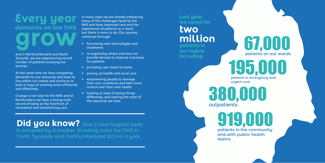and in Northumberland and North Tyneside, we are experiencing record number of patients accessing our services.

At the same time we have competing demands for our resources and have to live within our means and continue to look at ways of working more efficiently and effectively.

# **Every year**  demands on the NHS<br> **grow by the NHS**

Change is not new for the NHS and at Northumbria we have a strong track record of being at the forefront of innovation and transforming care.

**Last year, we cared for** 

**two million patients in** 

**our region including:**

**Did you know?** One in four hospital beds is occupied by a smoker. Smoking costs the NHS in North Tyneside and Northumberland £23.1m a year.

In many ways we are already embracing many of the challenges faced by the NHS and have improved care and the experiences of patients as a result, but there is more to do. Our journey continues through:

> 380,000 outpatients

> > 919,000 patients in the community and with public health teams

## 195,000 patients in emergency and

- harnessing new technologies and treatments
- re-organising where and how we provide services to improve outcomes for patients
- providing care closer to home
- joining up health and social care
- empowering people to manage their own conditions and take more control over their own health
- looking at ways of doing things differently, and making the most of the resources we have.

67,000 patients on our wards

urgent care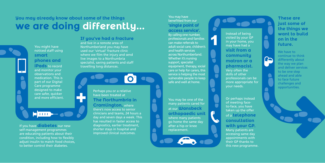### **You may already know about some of the things we are doing differently...**



Perhaps you or a relative have been treated at **The Northumbria in** 

**CONTROL** 

**Cramlington,** where there's now access to senior clinicians and teams, 24 hours a day and seven days a week. This has resulted in faster access to

diagnostics, earlier treatment, shorter stays in hospital and improved clinical outcomes.

You may be one of the many patients cared for at our **Wansbeck orthopaedic unit** where many patients go home the same day after a hip or knee replacement.

Or perhaps instead of meeting faceto-face, you have taken up the offer of a **telephone consultation with your GP.** 

Many patients are accessing same day appointments with their GP thanks to this new programme.

#### You may have benefitted from our **'single point of**

**access service'.** By calling one number, professionals and families can make referrals to adult social care, children's and health services across Northumberland. Whether it's nursing support, specialist equipment, therapy, social care or help for carers, this service is helping the most vulnerable people to keep safe and well at home.

Instead of being visited by your GP in your home, you may have had a **visit from a community matron or a pharmacist.** Very often the skills of other professionals can be more appropriate for your needs.

#### **If you've had a fracture**

and live in a remote area of Northumberland you may have used our 'virtual' fracture clinic where we film the injury and send live images to a Northumbria specialist, saving patients and staff travelling long distances.

You might have noticed staff using **smart phones and iPads** to record and monitor your observations and medication. This is part of our Digital Care programme designed to make care safer, quicker and more efficient.

**E 11111-** –

If you have **diabetes** our new self-management programmes are educating patients about their condition, including how to flexibly adjust insulin to match food choices, to better control their diabetes.

**These are just some of the things we want to build on in the future.** 

We have to continue to think differently about the way we plan and deliver services to be one step ahead and able to face future challenges and opportunities.

 $\Box$ 

1

 $\blacksquare$ 

Ŧ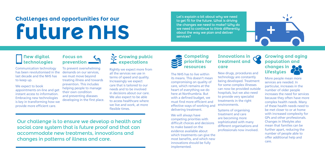#### **Innovations in treatment and care**

New drugs, procedures and technology are constantly being developed. Treatment for some complex illnesses can now be provided outside hospitals, but we also need to provide very specialist treatments in the right environments.

Systems of organising treatment and care are becoming more sophisticated with many different organisations and professionals now involved.





## **Challenges and opportunities for our future NHS**

#### **Competing priorities for resources**

The NHS has to live within its means. This doesn't mean compromising on quality of care, which remains at the heart of everything we do here at Northumbria. But with a defined budget, we must find more efficient and effective ways of working and delivering treatment.

We expect to book appointments on-line and get instant access to information. Embracing new technologies is key in transforming how we provide more efficient care.

#### **Growing public expectations**

We will always have competing priorities with difficult choices and decisions to make based on the evidence available about which treatments can give the most benefits, and which new innovations should be fully implemented.

#### **Focus on prevention**

To prevent overwhelming demands on our services, we must move beyond treating illness and towards prevention. This includes helping people to manage their own condition and preventing diseases developing in the first place.

#### **New digital technologies**

Communication technology has been revolutionised in the last decade and the NHS has to keep up.

Rightly we expect more from all the services we use in terms of speed and quality. Increasingly we expect care that is tailored to our needs and to be involved in decisions about our care. We also expect to be able to access healthcare where we live and work, at more flexible times.

#### **Growing and aging population and changes in lifestyles**

More people mean more services are needed. In particular, increases in the number of older people increases the need for services because they often have more complex health needs. Many of these health needs need to be met closer to or at home with increased complexity for GPs and other professionals. Changes in lifestyles also mean that families can be further apart, reducing the number of people able to offer additional help and care.

Our challenge is to ensure we develop a health and social care system that is future proof and that can accommodate new treatments, innovations and changes in patterns of illness and care.

Let's explain a bit about why we need to get fit for the future. What is driving the changes we need to make? Why do we need to continue to think differently about the way we plan and deliver services?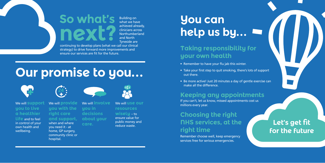

Building on what we have achieved already, clinicians across Northumberland and North Tyneside are

continuing to develop plans (what we call our clinical strategy) to drive forward more improvements and ensure our services are fit for the future.

## **You can help us by...**

#### **Taking responsibility for your own health**

- Remember to have your flu jab this winter.
- Take your first step to quit smoking, there's lots of support out there.
- Be more active! Just 20 minutes a day of gentle exercise can make all the difference.

#### **Keeping any appointments**

If you can't, let us know, missed appointments cost us millions every year.

#### **Choosing the right NHS services, at the right time**

Remember choose well, keep emergency services free for serious emergencies.

## **Our promise to you...**



### **Let's get fit for the future**

#### We will **support you to live a healthier**

**life** and to feel in control of your own health and wellbeing.

We will **provide you with the right care and support,** when and where you need it - at home, GP surgery, community clinic or hospital.

 $\frac{24}{4}$ 



We will **involve you in decisions about your care.** 

We will **use our resources** 

#### **wisely** – to ensure value for

public money and reduce waste.